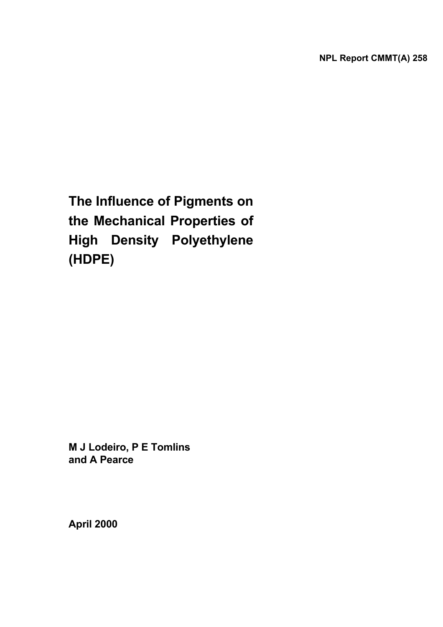**The Influence of Pigments on the Mechanical Properties of High Density Polyethylene (HDPE)** 

**M J Lodeiro, P E Tomlins and A Pearce** 

**April 2000**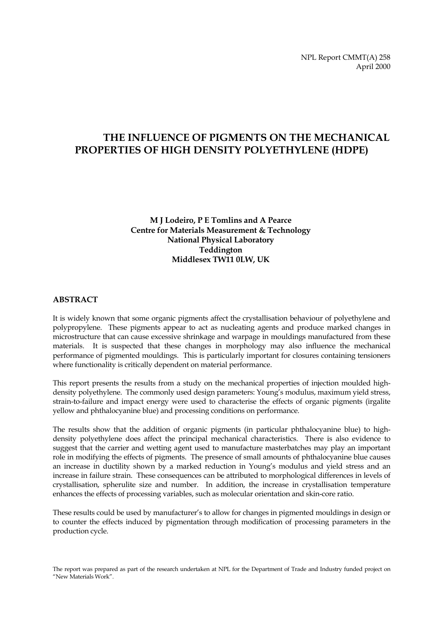NPL Report CMMT(A) 258 April 2000

# **THE INFLUENCE OF PIGMENTS ON THE MECHANICAL PROPERTIES OF HIGH DENSITY POLYETHYLENE (HDPE)**

#### **M J Lodeiro, P E Tomlins and A Pearce Centre for Materials Measurement & Technology National Physical Laboratory Teddington Middlesex TW11 0LW, UK**

#### **ABSTRACT**

It is widely known that some organic pigments affect the crystallisation behaviour of polyethylene and polypropylene. These pigments appear to act as nucleating agents and produce marked changes in microstructure that can cause excessive shrinkage and warpage in mouldings manufactured from these materials. It is suspected that these changes in morphology may also influence the mechanical performance of pigmented mouldings. This is particularly important for closures containing tensioners where functionality is critically dependent on material performance.

This report presents the results from a study on the mechanical properties of injection moulded highdensity polyethylene. The commonly used design parameters: Young's modulus, maximum yield stress, strain-to-failure and impact energy were used to characterise the effects of organic pigments (irgalite yellow and phthalocyanine blue) and processing conditions on performance.

The results show that the addition of organic pigments (in particular phthalocyanine blue) to highdensity polyethylene does affect the principal mechanical characteristics. There is also evidence to suggest that the carrier and wetting agent used to manufacture masterbatches may play an important role in modifying the effects of pigments. The presence of small amounts of phthalocyanine blue causes an increase in ductility shown by a marked reduction in Young's modulus and yield stress and an increase in failure strain. These consequences can be attributed to morphological differences in levels of crystallisation, spherulite size and number. In addition, the increase in crystallisation temperature enhances the effects of processing variables, such as molecular orientation and skin-core ratio.

These results could be used by manufacturer's to allow for changes in pigmented mouldings in design or to counter the effects induced by pigmentation through modification of processing parameters in the production cycle.

The report was prepared as part of the research undertaken at NPL for the Department of Trade and Industry funded project on "New Materials Work".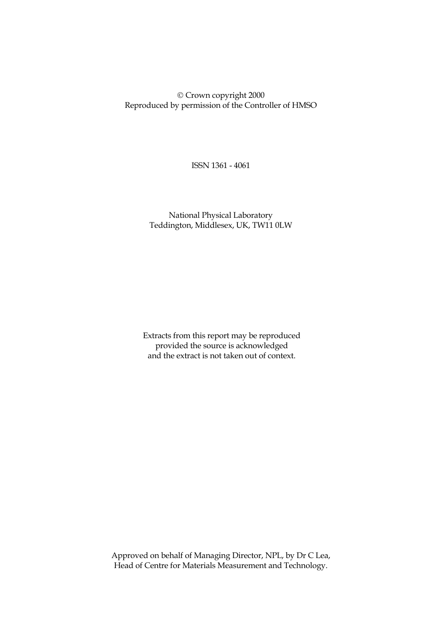Crown copyright 2000 Reproduced by permission of the Controller of HMSO

ISSN 1361 - 4061

 National Physical Laboratory Teddington, Middlesex, UK, TW11 0LW

Extracts from this report may be reproduced provided the source is acknowledged and the extract is not taken out of context.

 Approved on behalf of Managing Director, NPL, by Dr C Lea, Head of Centre for Materials Measurement and Technology.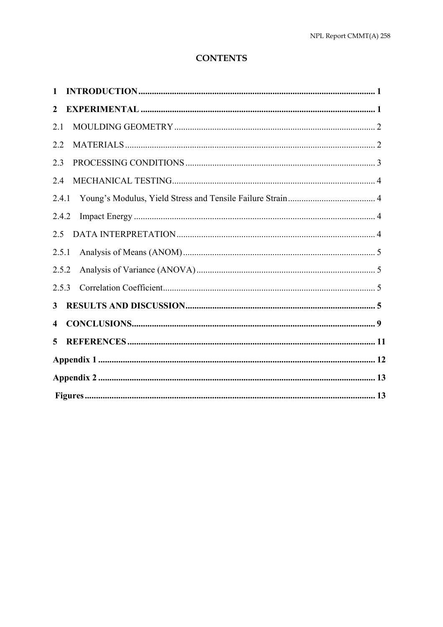# **CONTENTS**

| $\mathbf{1}$ |  |
|--------------|--|
| 2            |  |
| 2.1          |  |
| 2.2          |  |
| 2.3          |  |
| 2.4          |  |
| 2.4.1        |  |
| 2.4.2        |  |
| 2.5          |  |
| 2.5.1        |  |
| 2.5.2        |  |
| 2.5.3        |  |
| 3            |  |
| 4            |  |
| 5            |  |
|              |  |
|              |  |
|              |  |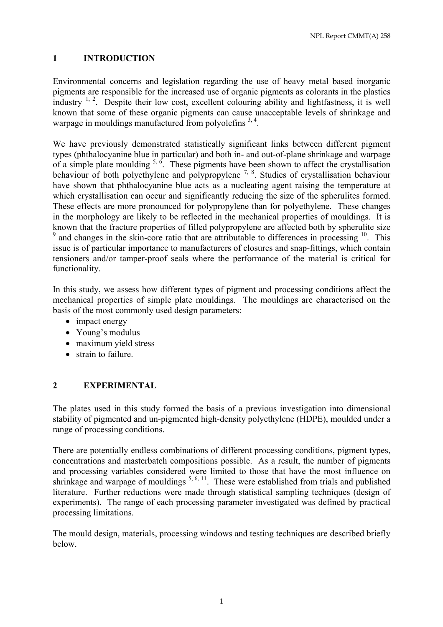### **1 INTRODUCTION**

Environmental concerns and legislation regarding the use of heavy metal based inorganic pigments are responsible for the increased use of organic pigments as colorants in the plastics industry  $1, 2$ . Despite their low cost, excellent colouring ability and lightfastness, it is well known that some of these organic pigments can cause unacceptable levels of shrinkage and warpage in mouldings manufactured from polyolefins  $3, 4$ .

We have previously demonstrated statistically significant links between different pigment types (phthalocyanine blue in particular) and both in- and out-of-plane shrinkage and warpage of a simple plate moulding  $5, 6$ . These pigments have been shown to affect the crystallisation behaviour of both polyethylene and polypropylene  $^{7, 8}$ . Studies of crystallisation behaviour have shown that phthalocyanine blue acts as a nucleating agent raising the temperature at which crystallisation can occur and significantly reducing the size of the spherulites formed. These effects are more pronounced for polypropylene than for polyethylene. These changes in the morphology are likely to be reflected in the mechanical properties of mouldings. It is known that the fracture properties of filled polypropylene are affected both by spherulite size <sup>9</sup> and changes in the skin-core ratio that are attributable to differences in processing <sup>10</sup>. This issue is of particular importance to manufacturers of closures and snap-fittings, which contain tensioners and/or tamper-proof seals where the performance of the material is critical for functionality.

In this study, we assess how different types of pigment and processing conditions affect the mechanical properties of simple plate mouldings. The mouldings are characterised on the basis of the most commonly used design parameters:

- impact energy
- Young's modulus
- maximum vield stress
- strain to failure.

# **2 EXPERIMENTAL**

The plates used in this study formed the basis of a previous investigation into dimensional stability of pigmented and un-pigmented high-density polyethylene (HDPE), moulded under a range of processing conditions.

There are potentially endless combinations of different processing conditions, pigment types, concentrations and masterbatch compositions possible. As a result, the number of pigments and processing variables considered were limited to those that have the most influence on shrinkage and warpage of mouldings <sup>5, 6, 11</sup>. These were established from trials and published literature. Further reductions were made through statistical sampling techniques (design of experiments). The range of each processing parameter investigated was defined by practical processing limitations.

The mould design, materials, processing windows and testing techniques are described briefly below.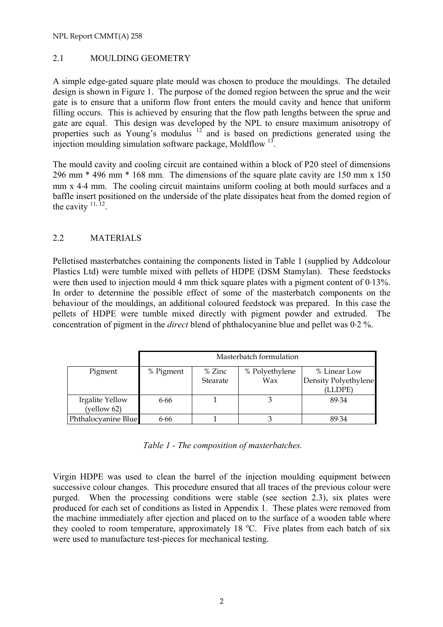#### 2.1 MOULDING GEOMETRY

A simple edge-gated square plate mould was chosen to produce the mouldings. The detailed design is shown in Figure 1. The purpose of the domed region between the sprue and the weir gate is to ensure that a uniform flow front enters the mould cavity and hence that uniform filling occurs. This is achieved by ensuring that the flow path lengths between the sprue and gate are equal. This design was developed by the NPL to ensure maximum anisotropy of properties such as Young's modulus  $12^{\circ}$  and is based on predictions generated using the injection moulding simulation software package, Moldflow <sup>13</sup>.

The mould cavity and cooling circuit are contained within a block of P20 steel of dimensions 296 mm \* 496 mm \* 168 mm. The dimensions of the square plate cavity are 150 mm x 150 mm x 4⋅4 mm. The cooling circuit maintains uniform cooling at both mould surfaces and a baffle insert positioned on the underside of the plate dissipates heat from the domed region of the cavity  $\frac{11}{12}$ .

#### 2.2 MATERIALS

Pelletised masterbatches containing the components listed in Table 1 (supplied by Addcolour Plastics Ltd) were tumble mixed with pellets of HDPE (DSM Stamylan). These feedstocks were then used to injection mould 4 mm thick square plates with a pigment content of 0⋅13%. In order to determine the possible effect of some of the masterbatch components on the behaviour of the mouldings, an additional coloured feedstock was prepared. In this case the pellets of HDPE were tumble mixed directly with pigment powder and extruded. The concentration of pigment in the *direct* blend of phthalocyanine blue and pellet was 0⋅2 %.

|                     | Masterbatch formulation |                                          |                      |       |  |  |  |
|---------------------|-------------------------|------------------------------------------|----------------------|-------|--|--|--|
| Pigment             | % Pigment               | % Polyethylene<br>% Zinc<br>% Linear Low |                      |       |  |  |  |
|                     | Wax<br>Stearate         |                                          | Density Polyethylene |       |  |  |  |
|                     |                         |                                          | (LLDPE)              |       |  |  |  |
| Irgalite Yellow     | 6.66                    |                                          |                      | 89.34 |  |  |  |
| (yellow 62)         |                         |                                          |                      |       |  |  |  |
| Phthalocyanine Blue | 6.66                    |                                          |                      | 89.34 |  |  |  |

*Table 1 - The composition of masterbatches.* 

Virgin HDPE was used to clean the barrel of the injection moulding equipment between successive colour changes. This procedure ensured that all traces of the previous colour were purged. When the processing conditions were stable (see section 2.3), six plates were produced for each set of conditions as listed in Appendix 1. These plates were removed from the machine immediately after ejection and placed on to the surface of a wooden table where they cooled to room temperature, approximately 18 °C. Five plates from each batch of six were used to manufacture test-pieces for mechanical testing.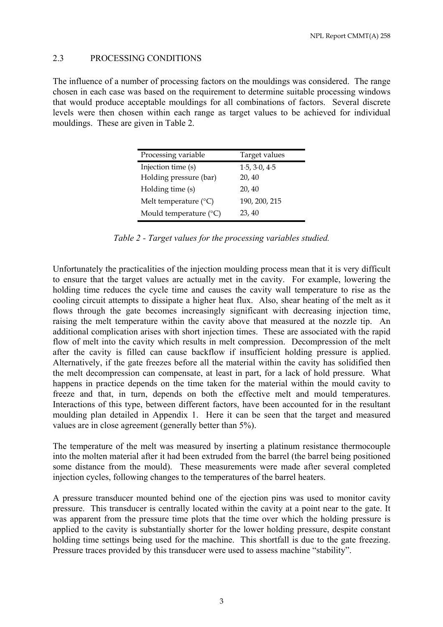#### 2.3 PROCESSING CONDITIONS

The influence of a number of processing factors on the mouldings was considered. The range chosen in each case was based on the requirement to determine suitable processing windows that would produce acceptable mouldings for all combinations of factors. Several discrete levels were then chosen within each range as target values to be achieved for individual mouldings. These are given in Table 2.

| Processing variable             | Target values |
|---------------------------------|---------------|
| Injection time (s)              | 1.5, 3.0, 4.5 |
| Holding pressure (bar)          | 20, 40        |
| Holding time (s)                | 20, 40        |
| Melt temperature $(^{\circ}C)$  | 190, 200, 215 |
| Mould temperature $(^{\circ}C)$ | 23, 40        |

|  | Table 2 - Target values for the processing variables studied. |  |  |  |  |
|--|---------------------------------------------------------------|--|--|--|--|
|--|---------------------------------------------------------------|--|--|--|--|

Unfortunately the practicalities of the injection moulding process mean that it is very difficult to ensure that the target values are actually met in the cavity. For example, lowering the holding time reduces the cycle time and causes the cavity wall temperature to rise as the cooling circuit attempts to dissipate a higher heat flux. Also, shear heating of the melt as it flows through the gate becomes increasingly significant with decreasing injection time, raising the melt temperature within the cavity above that measured at the nozzle tip. An additional complication arises with short injection times. These are associated with the rapid flow of melt into the cavity which results in melt compression. Decompression of the melt after the cavity is filled can cause backflow if insufficient holding pressure is applied. Alternatively, if the gate freezes before all the material within the cavity has solidified then the melt decompression can compensate, at least in part, for a lack of hold pressure. What happens in practice depends on the time taken for the material within the mould cavity to freeze and that, in turn, depends on both the effective melt and mould temperatures. Interactions of this type, between different factors, have been accounted for in the resultant moulding plan detailed in Appendix 1. Here it can be seen that the target and measured values are in close agreement (generally better than 5%).

The temperature of the melt was measured by inserting a platinum resistance thermocouple into the molten material after it had been extruded from the barrel (the barrel being positioned some distance from the mould). These measurements were made after several completed injection cycles, following changes to the temperatures of the barrel heaters.

A pressure transducer mounted behind one of the ejection pins was used to monitor cavity pressure. This transducer is centrally located within the cavity at a point near to the gate. It was apparent from the pressure time plots that the time over which the holding pressure is applied to the cavity is substantially shorter for the lower holding pressure, despite constant holding time settings being used for the machine. This shortfall is due to the gate freezing. Pressure traces provided by this transducer were used to assess machine "stability".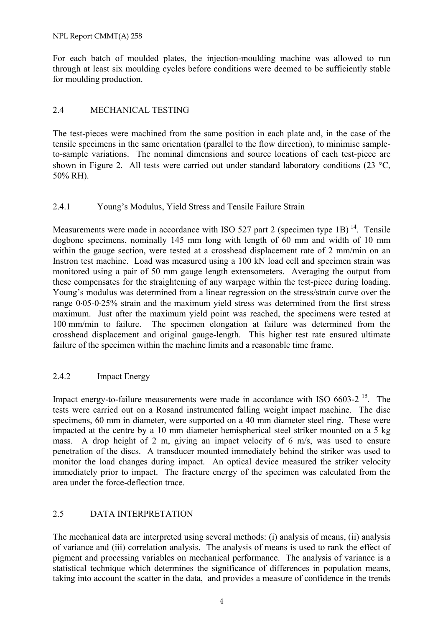NPL Report CMMT(A) 258

For each batch of moulded plates, the injection-moulding machine was allowed to run through at least six moulding cycles before conditions were deemed to be sufficiently stable for moulding production.

### 2.4 MECHANICAL TESTING

The test-pieces were machined from the same position in each plate and, in the case of the tensile specimens in the same orientation (parallel to the flow direction), to minimise sampleto-sample variations. The nominal dimensions and source locations of each test-piece are shown in Figure 2. All tests were carried out under standard laboratory conditions (23 °C, 50% RH).

#### 2.4.1 Young's Modulus, Yield Stress and Tensile Failure Strain

Measurements were made in accordance with ISO 527 part 2 (specimen type 1B)  $^{14}$ . Tensile dogbone specimens, nominally 145 mm long with length of 60 mm and width of 10 mm within the gauge section, were tested at a crosshead displacement rate of 2 mm/min on an Instron test machine. Load was measured using a 100 kN load cell and specimen strain was monitored using a pair of 50 mm gauge length extensometers. Averaging the output from these compensates for the straightening of any warpage within the test-piece during loading. Young's modulus was determined from a linear regression on the stress/strain curve over the range 0⋅05-0⋅25% strain and the maximum yield stress was determined from the first stress maximum. Just after the maximum yield point was reached, the specimens were tested at 100 mm/min to failure. The specimen elongation at failure was determined from the crosshead displacement and original gauge-length. This higher test rate ensured ultimate failure of the specimen within the machine limits and a reasonable time frame.

#### 2.4.2 Impact Energy

Impact energy-to-failure measurements were made in accordance with ISO  $6603-2^{15}$ . The tests were carried out on a Rosand instrumented falling weight impact machine. The disc specimens, 60 mm in diameter, were supported on a 40 mm diameter steel ring. These were impacted at the centre by a 10 mm diameter hemispherical steel striker mounted on a 5 kg mass. A drop height of 2 m, giving an impact velocity of 6 m/s, was used to ensure penetration of the discs. A transducer mounted immediately behind the striker was used to monitor the load changes during impact. An optical device measured the striker velocity immediately prior to impact. The fracture energy of the specimen was calculated from the area under the force-deflection trace.

#### 2.5 DATA INTERPRETATION

The mechanical data are interpreted using several methods: (i) analysis of means, (ii) analysis of variance and (iii) correlation analysis. The analysis of means is used to rank the effect of pigment and processing variables on mechanical performance. The analysis of variance is a statistical technique which determines the significance of differences in population means, taking into account the scatter in the data, and provides a measure of confidence in the trends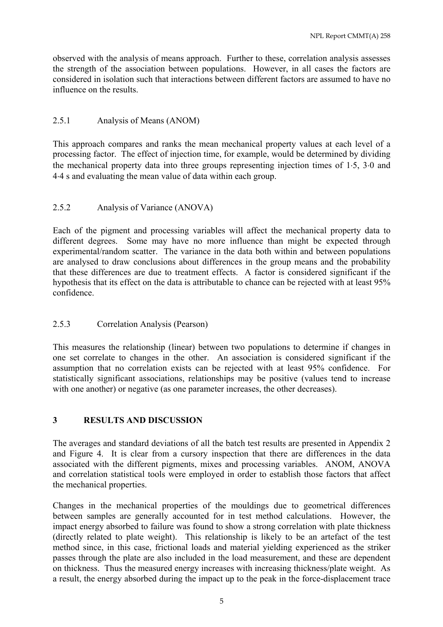observed with the analysis of means approach. Further to these, correlation analysis assesses the strength of the association between populations. However, in all cases the factors are considered in isolation such that interactions between different factors are assumed to have no influence on the results.

# 2.5.1 Analysis of Means (ANOM)

This approach compares and ranks the mean mechanical property values at each level of a processing factor. The effect of injection time, for example, would be determined by dividing the mechanical property data into three groups representing injection times of 1⋅5, 3⋅0 and 4⋅4 s and evaluating the mean value of data within each group.

# 2.5.2 Analysis of Variance (ANOVA)

Each of the pigment and processing variables will affect the mechanical property data to different degrees. Some may have no more influence than might be expected through experimental/random scatter. The variance in the data both within and between populations are analysed to draw conclusions about differences in the group means and the probability that these differences are due to treatment effects. A factor is considered significant if the hypothesis that its effect on the data is attributable to chance can be rejected with at least 95% confidence.

# 2.5.3 Correlation Analysis (Pearson)

This measures the relationship (linear) between two populations to determine if changes in one set correlate to changes in the other. An association is considered significant if the assumption that no correlation exists can be rejected with at least 95% confidence. For statistically significant associations, relationships may be positive (values tend to increase with one another) or negative (as one parameter increases, the other decreases).

# **3 RESULTS AND DISCUSSION**

The averages and standard deviations of all the batch test results are presented in Appendix 2 and Figure 4. It is clear from a cursory inspection that there are differences in the data associated with the different pigments, mixes and processing variables. ANOM, ANOVA and correlation statistical tools were employed in order to establish those factors that affect the mechanical properties.

Changes in the mechanical properties of the mouldings due to geometrical differences between samples are generally accounted for in test method calculations. However, the impact energy absorbed to failure was found to show a strong correlation with plate thickness (directly related to plate weight). This relationship is likely to be an artefact of the test method since, in this case, frictional loads and material yielding experienced as the striker passes through the plate are also included in the load measurement, and these are dependent on thickness. Thus the measured energy increases with increasing thickness/plate weight. As a result, the energy absorbed during the impact up to the peak in the force-displacement trace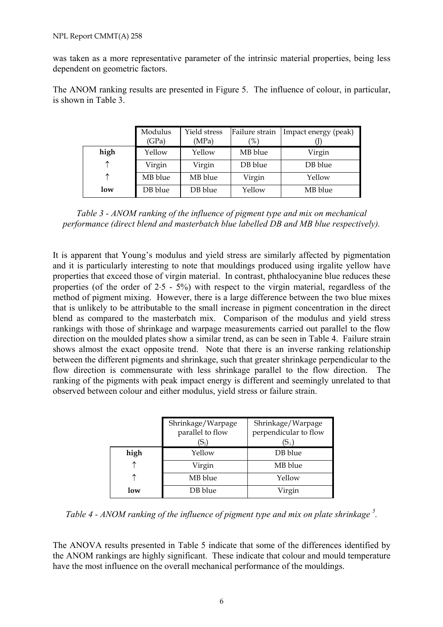was taken as a more representative parameter of the intrinsic material properties, being less dependent on geometric factors.

The ANOM ranking results are presented in Figure 5. The influence of colour, in particular, is shown in Table 3.

|      | Modulus<br>(GPa) | Yield stress<br>(MPa) | Failure strain<br>$( \% )$ | Impact energy (peak) |
|------|------------------|-----------------------|----------------------------|----------------------|
| high | Yellow           | Yellow                | MB blue                    | Virgin               |
| ↑    | Virgin           | Virgin                | DB blue                    | DB blue              |
| ↑    | MB blue          | MB blue               | Virgin                     | Yellow               |
| low  | DB blue          | DB blue               | Yellow                     | MB blue              |

*Table 3 - ANOM ranking of the influence of pigment type and mix on mechanical performance (direct blend and masterbatch blue labelled DB and MB blue respectively).* 

It is apparent that Young's modulus and yield stress are similarly affected by pigmentation and it is particularly interesting to note that mouldings produced using irgalite yellow have properties that exceed those of virgin material. In contrast, phthalocyanine blue reduces these properties (of the order of 2⋅5 - 5%) with respect to the virgin material, regardless of the method of pigment mixing. However, there is a large difference between the two blue mixes that is unlikely to be attributable to the small increase in pigment concentration in the direct blend as compared to the masterbatch mix. Comparison of the modulus and yield stress rankings with those of shrinkage and warpage measurements carried out parallel to the flow direction on the moulded plates show a similar trend, as can be seen in Table 4. Failure strain shows almost the exact opposite trend. Note that there is an inverse ranking relationship between the different pigments and shrinkage, such that greater shrinkage perpendicular to the flow direction is commensurate with less shrinkage parallel to the flow direction. The ranking of the pigments with peak impact energy is different and seemingly unrelated to that observed between colour and either modulus, yield stress or failure strain.

|      | Shrinkage/Warpage<br>parallel to flow<br>(S⊩ | Shrinkage/Warpage<br>perpendicular to flow<br>$(\mathrm{S}_\perp)$ |
|------|----------------------------------------------|--------------------------------------------------------------------|
| high | Yellow                                       | DB blue                                                            |
|      | Virgin                                       | MB blue                                                            |
|      | MB blue                                      | Yellow                                                             |
| low  | DB blue                                      | Virgin                                                             |

*Table 4 - ANOM ranking of the influence of pigment type and mix on plate shrinkage 5 .*

The ANOVA results presented in Table 5 indicate that some of the differences identified by the ANOM rankings are highly significant. These indicate that colour and mould temperature have the most influence on the overall mechanical performance of the mouldings.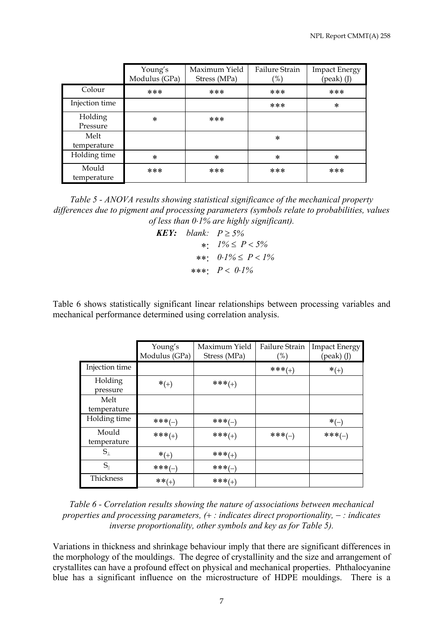|                      | Young's<br>Modulus (GPa) | Maximum Yield<br>Stress (MPa) | Failure Strain<br>$( \% )$ | <b>Impact Energy</b><br>$(\text{peak})$ (J) |
|----------------------|--------------------------|-------------------------------|----------------------------|---------------------------------------------|
| Colour               | ***                      | ***                           | ***                        | ***                                         |
| Injection time       |                          |                               | ***                        | *                                           |
| Holding<br>Pressure  | $\ast$                   | ***                           |                            |                                             |
| Melt<br>temperature  |                          |                               | $\ast$                     |                                             |
| Holding time         | $\ast$                   | $\ast$                        | $\ast$                     | *                                           |
| Mould<br>temperature | ***                      | ***                           | ***                        | ***                                         |

*Table 5 - ANOVA results showing statistical significance of the mechanical property differences due to pigment and processing parameters (symbols relate to probabilities, values of less than 0*⋅*1% are highly significant).* 

*KEY: blank:*  $P > 5\%$ ∗: *1%* ≤ *P* < *5%*  ∗∗: *0*⋅*1%* ≤ *P* < *1%*  ∗∗∗: *P* < *0*⋅*1%* 

Table 6 shows statistically significant linear relationships between processing variables and mechanical performance determined using correlation analysis.

|                 | Young's       | Maximum Yield | Failure Strain | <b>Impact Energy</b> |
|-----------------|---------------|---------------|----------------|----------------------|
|                 | Modulus (GPa) | Stress (MPa)  | $(\%)$         | (peak) (J)           |
| Injection time  |               |               | $***(+)$       | $*(+)$               |
| Holding         | $*(+)$        | $***(+)$      |                |                      |
| pressure        |               |               |                |                      |
| Melt            |               |               |                |                      |
| temperature     |               |               |                |                      |
| Holding time    | $***(-)$      | $***(-)$      |                | $*(-)$               |
| Mould           | $***(+)$      | $***(+)$      | $***(-)$       | $***(-)$             |
| temperature     |               |               |                |                      |
| $S_{\perp}$     | $*(+)$        | $***(+)$      |                |                      |
| $S_{\parallel}$ | $***(-)$      | $***(-)$      |                |                      |
| Thickness       | $***(+)$      | $***(+)$      |                |                      |

*Table 6 - Correlation results showing the nature of associations between mechanical properties and processing parameters, (*+ *: indicates direct proportionality,* − *: indicates inverse proportionality, other symbols and key as for Table 5).* 

Variations in thickness and shrinkage behaviour imply that there are significant differences in the morphology of the mouldings. The degree of crystallinity and the size and arrangement of crystallites can have a profound effect on physical and mechanical properties. Phthalocyanine blue has a significant influence on the microstructure of HDPE mouldings. There is a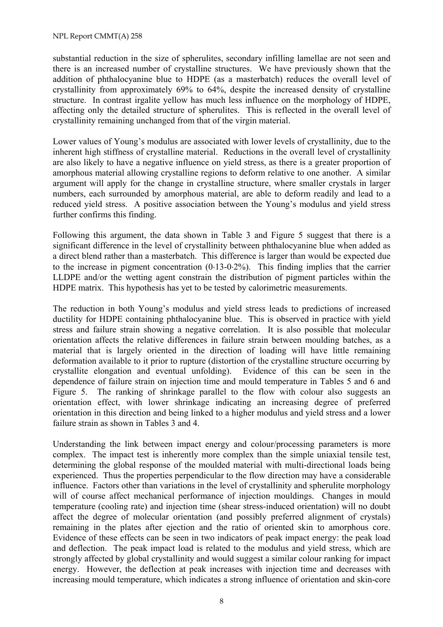substantial reduction in the size of spherulites, secondary infilling lamellae are not seen and there is an increased number of crystalline structures. We have previously shown that the addition of phthalocyanine blue to HDPE (as a masterbatch) reduces the overall level of crystallinity from approximately 69% to 64%, despite the increased density of crystalline structure. In contrast irgalite yellow has much less influence on the morphology of HDPE, affecting only the detailed structure of spherulites. This is reflected in the overall level of crystallinity remaining unchanged from that of the virgin material.

Lower values of Young's modulus are associated with lower levels of crystallinity, due to the inherent high stiffness of crystalline material. Reductions in the overall level of crystallinity are also likely to have a negative influence on yield stress, as there is a greater proportion of amorphous material allowing crystalline regions to deform relative to one another. A similar argument will apply for the change in crystalline structure, where smaller crystals in larger numbers, each surrounded by amorphous material, are able to deform readily and lead to a reduced yield stress. A positive association between the Young's modulus and yield stress further confirms this finding.

Following this argument, the data shown in Table 3 and Figure 5 suggest that there is a significant difference in the level of crystallinity between phthalocyanine blue when added as a direct blend rather than a masterbatch. This difference is larger than would be expected due to the increase in pigment concentration (0⋅13-0⋅2%). This finding implies that the carrier LLDPE and/or the wetting agent constrain the distribution of pigment particles within the HDPE matrix. This hypothesis has yet to be tested by calorimetric measurements.

The reduction in both Young's modulus and yield stress leads to predictions of increased ductility for HDPE containing phthalocyanine blue. This is observed in practice with yield stress and failure strain showing a negative correlation. It is also possible that molecular orientation affects the relative differences in failure strain between moulding batches, as a material that is largely oriented in the direction of loading will have little remaining deformation available to it prior to rupture (distortion of the crystalline structure occurring by crystallite elongation and eventual unfolding). Evidence of this can be seen in the dependence of failure strain on injection time and mould temperature in Tables 5 and 6 and Figure 5. The ranking of shrinkage parallel to the flow with colour also suggests an orientation effect, with lower shrinkage indicating an increasing degree of preferred orientation in this direction and being linked to a higher modulus and yield stress and a lower failure strain as shown in Tables 3 and 4.

Understanding the link between impact energy and colour/processing parameters is more complex. The impact test is inherently more complex than the simple uniaxial tensile test, determining the global response of the moulded material with multi-directional loads being experienced. Thus the properties perpendicular to the flow direction may have a considerable influence. Factors other than variations in the level of crystallinity and spherulite morphology will of course affect mechanical performance of injection mouldings. Changes in mould temperature (cooling rate) and injection time (shear stress-induced orientation) will no doubt affect the degree of molecular orientation (and possibly preferred alignment of crystals) remaining in the plates after ejection and the ratio of oriented skin to amorphous core. Evidence of these effects can be seen in two indicators of peak impact energy: the peak load and deflection. The peak impact load is related to the modulus and yield stress, which are strongly affected by global crystallinity and would suggest a similar colour ranking for impact energy. However, the deflection at peak increases with injection time and decreases with increasing mould temperature, which indicates a strong influence of orientation and skin-core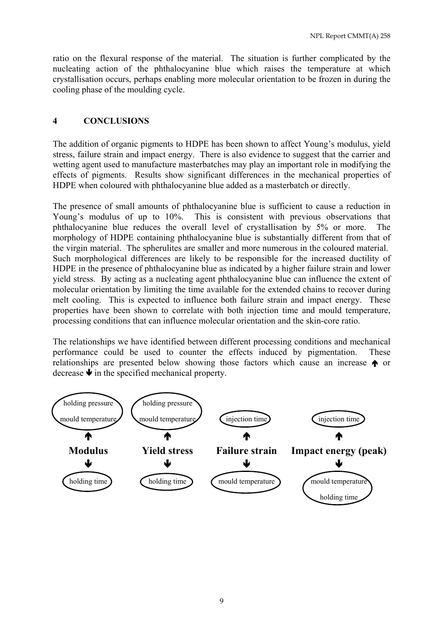ratio on the flexural response of the material. The situation is further complicated by the nucleating action of the phthalocyanine blue which raises the temperature at which crystallisation occurs, perhaps enabling more molecular orientation to be frozen in during the cooling phase of the moulding cycle.

### **4 CONCLUSIONS**

The addition of organic pigments to HDPE has been shown to affect Young's modulus, yield stress, failure strain and impact energy. There is also evidence to suggest that the carrier and wetting agent used to manufacture masterbatches may play an important role in modifying the effects of pigments. Results show significant differences in the mechanical properties of HDPE when coloured with phthalocyanine blue added as a masterbatch or directly.

The presence of small amounts of phthalocyanine blue is sufficient to cause a reduction in Young's modulus of up to 10%. This is consistent with previous observations that phthalocyanine blue reduces the overall level of crystallisation by 5% or more. The morphology of HDPE containing phthalocyanine blue is substantially different from that of the virgin material. The spherulites are smaller and more numerous in the coloured material. Such morphological differences are likely to be responsible for the increased ductility of HDPE in the presence of phthalocyanine blue as indicated by a higher failure strain and lower yield stress. By acting as a nucleating agent phthalocyanine blue can influence the extent of molecular orientation by limiting the time available for the extended chains to recover during melt cooling. This is expected to influence both failure strain and impact energy. These properties have been shown to correlate with both injection time and mould temperature, processing conditions that can influence molecular orientation and the skin-core ratio.

The relationships we have identified between different processing conditions and mechanical performance could be used to counter the effects induced by pigmentation. These relationships are presented below showing those factors which cause an increase Å or decrease  $\blacklozenge$  in the specified mechanical property.

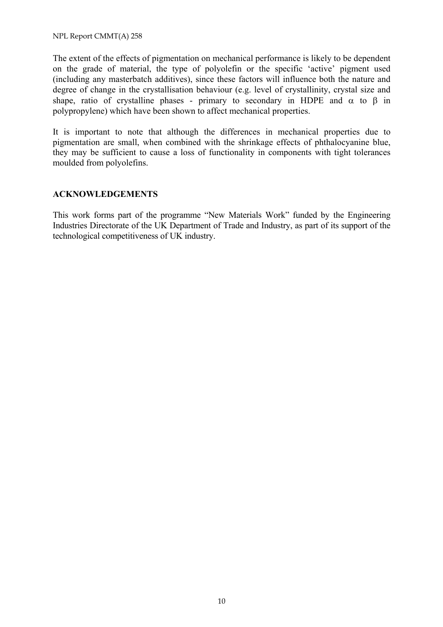NPL Report CMMT(A) 258

The extent of the effects of pigmentation on mechanical performance is likely to be dependent on the grade of material, the type of polyolefin or the specific 'active' pigment used (including any masterbatch additives), since these factors will influence both the nature and degree of change in the crystallisation behaviour (e.g. level of crystallinity, crystal size and shape, ratio of crystalline phases - primary to secondary in HDPE and  $\alpha$  to  $\beta$  in polypropylene) which have been shown to affect mechanical properties.

It is important to note that although the differences in mechanical properties due to pigmentation are small, when combined with the shrinkage effects of phthalocyanine blue, they may be sufficient to cause a loss of functionality in components with tight tolerances moulded from polyolefins.

#### **ACKNOWLEDGEMENTS**

This work forms part of the programme "New Materials Work" funded by the Engineering Industries Directorate of the UK Department of Trade and Industry, as part of its support of the technological competitiveness of UK industry.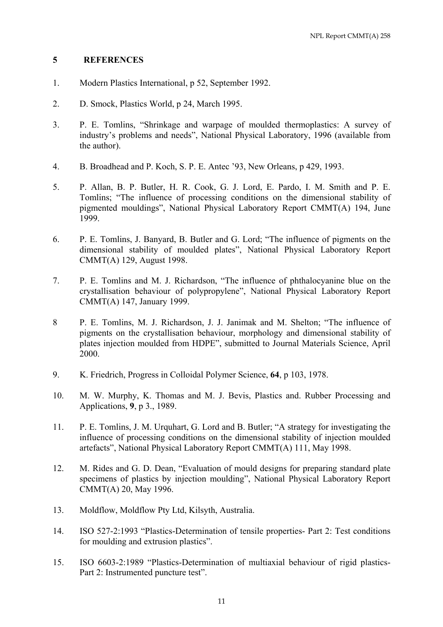#### **5 REFERENCES**

- 1. Modern Plastics International, p 52, September 1992.
- 2. D. Smock, Plastics World, p 24, March 1995.
- 3. P. E. Tomlins, "Shrinkage and warpage of moulded thermoplastics: A survey of industry's problems and needs", National Physical Laboratory, 1996 (available from the author).
- 4. B. Broadhead and P. Koch, S. P. E. Antec '93, New Orleans, p 429, 1993.
- 5. P. Allan, B. P. Butler, H. R. Cook, G. J. Lord, E. Pardo, I. M. Smith and P. E. Tomlins; "The influence of processing conditions on the dimensional stability of pigmented mouldings", National Physical Laboratory Report CMMT(A) 194, June 1999.
- 6. P. E. Tomlins, J. Banyard, B. Butler and G. Lord; "The influence of pigments on the dimensional stability of moulded plates", National Physical Laboratory Report CMMT(A) 129, August 1998.
- 7. P. E. Tomlins and M. J. Richardson, "The influence of phthalocyanine blue on the crystallisation behaviour of polypropylene", National Physical Laboratory Report CMMT(A) 147, January 1999.
- 8 P. E. Tomlins, M. J. Richardson, J. J. Janimak and M. Shelton; "The influence of pigments on the crystallisation behaviour, morphology and dimensional stability of plates injection moulded from HDPE", submitted to Journal Materials Science, April 2000.
- 9. K. Friedrich, Progress in Colloidal Polymer Science, **64**, p 103, 1978.
- 10. M. W. Murphy, K. Thomas and M. J. Bevis, Plastics and. Rubber Processing and Applications, **9**, p 3., 1989.
- 11. P. E. Tomlins, J. M. Urquhart, G. Lord and B. Butler; "A strategy for investigating the influence of processing conditions on the dimensional stability of injection moulded artefacts", National Physical Laboratory Report CMMT(A) 111, May 1998.
- 12. M. Rides and G. D. Dean, "Evaluation of mould designs for preparing standard plate specimens of plastics by injection moulding", National Physical Laboratory Report CMMT(A) 20, May 1996.
- 13. Moldflow, Moldflow Pty Ltd, Kilsyth, Australia.
- 14. ISO 527-2:1993 "Plastics-Determination of tensile properties- Part 2: Test conditions for moulding and extrusion plastics".
- 15. ISO 6603-2:1989 "Plastics-Determination of multiaxial behaviour of rigid plastics-Part 2: Instrumented puncture test".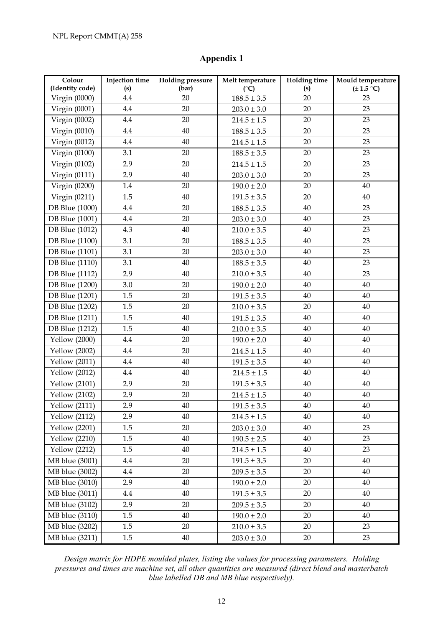### **Appendix 1**

| Colour<br>(Identity code) | <b>Injection</b> time<br>(s) | <b>Holding pressure</b><br>(bar) | Melt temperature<br>$(^{\circ}C)$ | <b>Holding time</b><br>(s) | Mould temperature<br>$(\pm 1.5 \degree C)$ |
|---------------------------|------------------------------|----------------------------------|-----------------------------------|----------------------------|--------------------------------------------|
| Virgin (0000)             | 4.4                          | 20                               | $188.5 \pm 3.5$                   | 20                         | 23                                         |
| Virgin (0001)             | 4.4                          | 20                               | $203.0 \pm 3.0$                   | 20                         | 23                                         |
| Virgin (0002)             | 4.4                          | 20                               | $214.5 \pm 1.5$                   | 20                         | 23                                         |
| Virgin (0010)             | 4.4                          | 40                               | $188.5 \pm 3.5$                   | 20                         | 23                                         |
| Virgin (0012)             | $4.4\,$                      | 40                               | $214.5 \pm 1.5$                   | 20                         | 23                                         |
| Virgin (0100)             | 3.1                          | 20                               | $188.5 \pm 3.5$                   | 20                         | 23                                         |
| Virgin (0102)             | 2.9                          | 20                               | $214.5 \pm 1.5$                   | 20                         | 23                                         |
| Virgin (0111)             | 2.9                          | 40                               | $203.0 \pm 3.0$                   | 20                         | 23                                         |
| Virgin (0200)             | $1.4\,$                      | 20                               | $190.0 \pm 2.0$                   | 20                         | 40                                         |
| Virgin (0211)             | 1.5                          | 40                               | $191.5 \pm 3.5$                   | 20                         | 40                                         |
| <b>DB</b> Blue (1000)     | 4.4                          | 20                               | $188.5 \pm 3.5$                   | 40                         | 23                                         |
| <b>DB</b> Blue (1001)     | 4.4                          | 20                               | $203.0 \pm 3.0$                   | 40                         | 23                                         |
| <b>DB</b> Blue (1012)     | 4.3                          | 40                               | $210.0 \pm 3.5$                   | 40                         | 23                                         |
| <b>DB</b> Blue (1100)     | 3.1                          | 20                               | $188.5 \pm 3.5$                   | 40                         | 23                                         |
| <b>DB</b> Blue (1101)     | 3.1                          | 20                               | $203.0 \pm 3.0$                   | 40                         | 23                                         |
| <b>DB</b> Blue (1110)     | 3.1                          | 40                               | $188.5 \pm 3.5$                   | 40                         | 23                                         |
| <b>DB</b> Blue (1112)     | 2.9                          | 40                               | $210.0 \pm 3.5$                   | 40                         | 23                                         |
| <b>DB</b> Blue (1200)     | 3.0                          | 20                               | $190.0 \pm 2.0$                   | 40                         | 40                                         |
| <b>DB</b> Blue (1201)     | 1.5                          | 20                               | $191.5 \pm 3.5$                   | 40                         | 40                                         |
| <b>DB</b> Blue (1202)     | 1.5                          | 20                               | $210.0 \pm 3.5$                   | 20                         | $40\,$                                     |
| <b>DB</b> Blue (1211)     | 1.5                          | 40                               | $191.5 \pm 3.5$                   | 40                         | 40                                         |
| <b>DB</b> Blue (1212)     | 1.5                          | 40                               | $210.0 \pm 3.5$                   | 40                         | 40                                         |
| Yellow (2000)             | 4.4                          | 20                               | $190.0 \pm 2.0$                   | 40                         | 40                                         |
| Yellow $(2002)$           | 4.4                          | 20                               | $214.5 \pm 1.5$                   | 40                         | 40                                         |
| <b>Yellow</b> (2011)      | $4.4\,$                      | 40                               | $191.5 \pm 3.5$                   | 40                         | 40                                         |
| <b>Yellow</b> (2012)      | $4.4\,$                      | 40                               | $214.5 \pm 1.5$                   | $40\,$                     | 40                                         |
| <b>Yellow</b> (2101)      | 2.9                          | 20                               | $191.5 \pm 3.5$                   | 40                         | 40                                         |
| <b>Yellow</b> (2102)      | 2.9                          | 20                               | $214.5 \pm 1.5$                   | $40\,$                     | 40                                         |
| <b>Yellow</b> (2111)      | 2.9                          | $40\,$                           | $191.5 \pm 3.5$                   | $40\,$                     | 40                                         |
| <b>Yellow</b> (2112)      | 2.9                          | 40                               | $214.5 \pm 1.5$                   | 40                         | 40                                         |
| <b>Yellow</b> (2201)      | 1.5                          | 20                               | $203.0 \pm 3.0$                   | 40                         | 23                                         |
| <b>Yellow</b> (2210)      | 1.5                          | 40                               | $190.5 \pm 2.5$                   | 40                         | 23                                         |
| <b>Yellow</b> (2212)      | 1.5                          | 40                               | $214.5 \pm 1.5$                   | 40                         | 23                                         |
| MB blue (3001)            | 4.4                          | 20                               | $191.5 \pm 3.5$                   | 20                         | 40                                         |
| MB blue (3002)            | $4.4\,$                      | 20                               | $209.5 \pm 3.5$                   | 20                         | 40                                         |
| MB blue (3010)            | 2.9                          | 40                               | $190.0 \pm 2.0$                   | 20                         | 40                                         |
| $MB$ blue $(3011)$        | 4.4                          | 40                               | $191.5 \pm 3.5$                   | 20                         | 40                                         |
| MB blue (3102)            | 2.9                          | 20                               | $209.5 \pm 3.5$                   | 20                         | 40                                         |
| MB blue (3110)            | 1.5                          | 40                               | $190.0 \pm 2.0$                   | 20                         | 40                                         |
| MB blue (3202)            | 1.5                          | 20                               | $210.0 \pm 3.5$                   | 20                         | 23                                         |
| MB blue (3211)            | 1.5                          | $40\,$                           | $203.0 \pm 3.0$                   | $20\,$                     | 23                                         |

*Design matrix for HDPE moulded plates, listing the values for processing parameters. Holding pressures and times are machine set, all other quantities are measured (direct blend and masterbatch blue labelled DB and MB blue respectively).*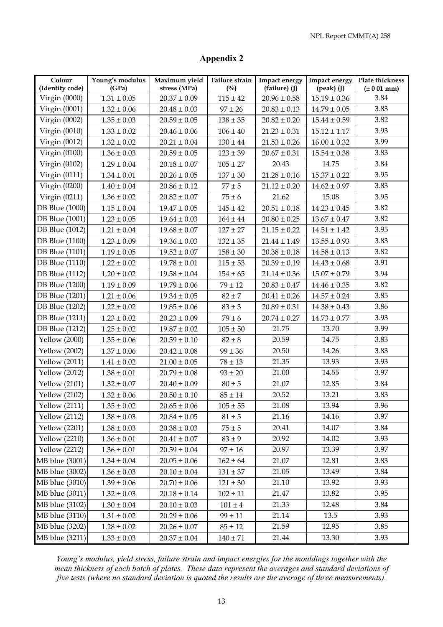### **Appendix 2**

| Colour                | Young's modulus | Maximum yield    | Failure strain | <b>Impact energy</b> | Impact energy       | Plate thickness |
|-----------------------|-----------------|------------------|----------------|----------------------|---------------------|-----------------|
| (Identity code)       | (GPa)           | stress (MPa)     | $(^{0}/_{0})$  | (failure) (J)        | $(\text{peak})$ (J) | $(\pm 0.01$ mm) |
| Virgin (0000)         | $1.31 \pm 0.05$ | $20.37 \pm 0.09$ | $115 \pm 42$   | $20.96 \pm 0.58$     | $15.19 \pm 0.36$    | 3.84            |
| Virgin (0001)         | $1.32 \pm 0.06$ | $20.48 \pm 0.03$ | $97 \pm 26$    | $20.83 \pm 0.13$     | $14.79 \pm 0.05$    | 3.83            |
| Virgin (0002)         | $1.35 \pm 0.03$ | $20.59 \pm 0.05$ | $138 \pm 35$   | $20.82 \pm 0.20$     | $15.44 \pm 0.59$    | 3.82            |
| Virgin $(0010)$       | $1.33 \pm 0.02$ | $20.46 \pm 0.06$ | $106 \pm 40$   | $21.23 \pm 0.31$     | $15.12 \pm 1.17$    | 3.93            |
| Virgin (0012)         | $1.32 \pm 0.02$ | $20.21 \pm 0.04$ | $130 \pm 44$   | $21.53 \pm 0.26$     | $16.00 \pm 0.32$    | 3.99            |
| Virgin (0100)         | $1.36 \pm 0.03$ | $20.59 \pm 0.05$ | $123 \pm 39$   | $20.67 \pm 0.31$     | $15.54 \pm 0.38$    | 3.83            |
| Virgin (0102)         | $1.29 \pm 0.04$ | $20.18 \pm 0.07$ | $105 \pm 27$   | 20.43                | 14.75               | 3.84            |
| Virgin (0111)         | $1.34 \pm 0.01$ | $20.26 \pm 0.05$ | $137 \pm 30$   | $21.28 \pm 0.16$     | $15.37 \pm 0.22$    | 3.95            |
| Virgin (0200)         | $1.40 \pm 0.04$ | $20.86 \pm 0.12$ | $77 \pm 5$     | $21.12 \pm 0.20$     | $14.62 \pm 0.97$    | 3.83            |
| Virgin (0211)         | $1.36 \pm 0.02$ | $20.82 \pm 0.07$ | $75 \pm 6$     | 21.62                | 15.08               | 3.95            |
| <b>DB</b> Blue (1000) | $1.15 \pm 0.04$ | $19.47 \pm 0.05$ | $145 \pm 42$   | $20.51 \pm 0.18$     | $14.23 \pm 0.45$    | 3.82            |
| DB Blue (1001)        | $1.23 \pm 0.05$ | $19.64 \pm 0.03$ | $164 \pm 44$   | $20.80 \pm 0.25$     | $13.67 \pm 0.47$    | 3.82            |
| <b>DB</b> Blue (1012) | $1.21 \pm 0.04$ | $19.68 \pm 0.07$ | $127 \pm 27$   | $21.15 \pm 0.22$     | $14.51 \pm 1.42$    | 3.95            |
| <b>DB</b> Blue (1100) | $1.23 \pm 0.09$ | $19.36 \pm 0.03$ | $132 \pm 35$   | $21.44 \pm 1.49$     | $13.55 \pm 0.93$    | 3.83            |
| <b>DB</b> Blue (1101) | $1.19 \pm 0.05$ | $19.52 \pm 0.07$ | $158 \pm 30$   | $20.38 \pm 0.18$     | $14.58 \pm 0.13$    | 3.82            |
| <b>DB</b> Blue (1110) | $1.22 \pm 0.02$ | $19.78 \pm 0.01$ | $115 \pm 53$   | $20.39 \pm 0.19$     | $14.43 \pm 0.68$    | 3.91            |
| <b>DB</b> Blue (1112) | $1.20 \pm 0.02$ | $19.58 \pm 0.04$ | $154 \pm 65$   | $21.14 \pm 0.36$     | $15.07 \pm 0.79$    | 3.94            |
| <b>DB</b> Blue (1200) | $1.19 \pm 0.09$ | $19.79 \pm 0.06$ | $79 \pm 12$    | $20.83 \pm 0.47$     | $14.46 \pm 0.35$    | 3.82            |
| DB Blue (1201)        | $1.21 \pm 0.06$ | $19.34 \pm 0.05$ | $82 \pm 7$     | $20.41 \pm 0.26$     | $14.57 \pm 0.24$    | 3.85            |
| <b>DB Blue (1202)</b> | $1.22 \pm 0.02$ | $19.85 \pm 0.06$ | $83 \pm 3$     | $20.89 \pm 0.31$     | $14.38 \pm 0.43$    | 3.86            |
| <b>DB</b> Blue (1211) | $1.23 \pm 0.02$ | $20.23 \pm 0.09$ | $79 \pm 6$     | $20.74 \pm 0.27$     | $14.73 \pm 0.77$    | 3.93            |
| <b>DB</b> Blue (1212) | $1.25 \pm 0.02$ | $19.87 \pm 0.02$ | $105\pm50$     | 21.75                | 13.70               | 3.99            |
| Yellow (2000)         | $1.35 \pm 0.06$ | $20.59 \pm 0.10$ | $82 \pm 8$     | 20.59                | 14.75               | 3.83            |
| Yellow (2002)         | $1.37 \pm 0.06$ | $20.42 \pm 0.08$ | $99 \pm 36$    | 20.50                | 14.26               | 3.83            |
| <b>Yellow</b> (2011)  | $1.41 \pm 0.02$ | $21.00 \pm 0.05$ | $78 \pm 13$    | 21.35                | 13.93               | 3.93            |
| <b>Yellow</b> (2012)  | $1.38 \pm 0.01$ | $20.79 \pm 0.08$ | $93 \pm 20$    | 21.00                | 14.55               | 3.97            |
| <b>Yellow</b> (2101)  | $1.32 \pm 0.07$ | $20.40 \pm 0.09$ | $80\pm5$       | 21.07                | 12.85               | 3.84            |
| <b>Yellow</b> (2102)  | $1.32 \pm 0.06$ | $20.50 \pm 0.10$ | $85 \pm 14$    | 20.52                | 13.21               | 3.83            |
| Yellow $(2111)$       | $1.35\pm0.02$   | $20.65 \pm 0.06$ | $105\pm55$     | 21.08                | 13.94               | 3.96            |
| Yellow $(2112)$       | $1.38 \pm 0.03$ | $20.84 \pm 0.05$ | $81 \pm 5$     | 21.16                | 14.16               | 3.97            |
| <b>Yellow</b> (2201)  | $1.38 \pm 0.03$ | $20.38 \pm 0.03$ | $75 \pm 5$     | 20.41                | 14.07               | 3.84            |
| <b>Yellow</b> (2210)  | $1.36 \pm 0.01$ | $20.41 \pm 0.07$ | $83 \pm 9$     | 20.92                | 14.02               | 3.93            |
| <b>Yellow</b> (2212)  | $1.36 \pm 0.01$ | $20.59 \pm 0.04$ | $97 \pm 16$    | 20.97                | 13.39               | 3.97            |
| MB blue (3001)        | $1.34 \pm 0.04$ | $20.05 \pm 0.06$ | $162 \pm 64$   | 21.07                | 12.81               | 3.83            |
| MB blue (3002)        | $1.36 \pm 0.03$ | $20.10 \pm 0.04$ | $131 \pm 37$   | 21.05                | 13.49               | 3.84            |
| MB blue (3010)        | $1.39 \pm 0.06$ | $20.70 \pm 0.06$ | $121\pm30$     | 21.10                | 13.92               | 3.93            |
| MB blue (3011)        | $1.32 \pm 0.03$ | $20.18 \pm 0.14$ | $102 \pm 11$   | 21.47                | 13.82               | 3.95            |
| MB blue (3102)        | $1.30 \pm 0.04$ | $20.10 \pm 0.03$ | $101 \pm 4$    | 21.33                | 12.48               | 3.84            |
| MB blue (3110)        | $1.31 \pm 0.02$ | $20.29 \pm 0.06$ | $99 \pm 11$    | 21.14                | 13.5                | 3.93            |
| MB blue (3202)        | $1.28 \pm 0.02$ | $20.26 \pm 0.07$ | $85 \pm 12$    | 21.59                | 12.95               | 3.85            |
| MB blue (3211)        | $1.33 \pm 0.03$ | $20.37 \pm 0.04$ | $140 \pm 71$   | 21.44                | 13.30               | 3.93            |

*Young's modulus, yield stress, failure strain and impact energies for the mouldings together with the mean thickness of each batch of plates. These data represent the averages and standard deviations of five tests (where no standard deviation is quoted the results are the average of three measurements).*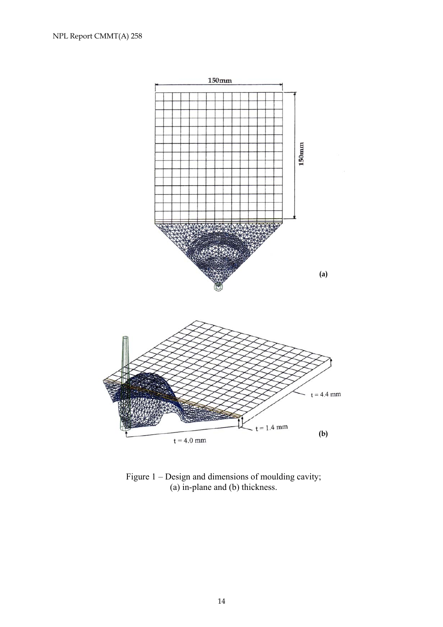

Figure 1 – Design and dimensions of moulding cavity; (a) in-plane and (b) thickness.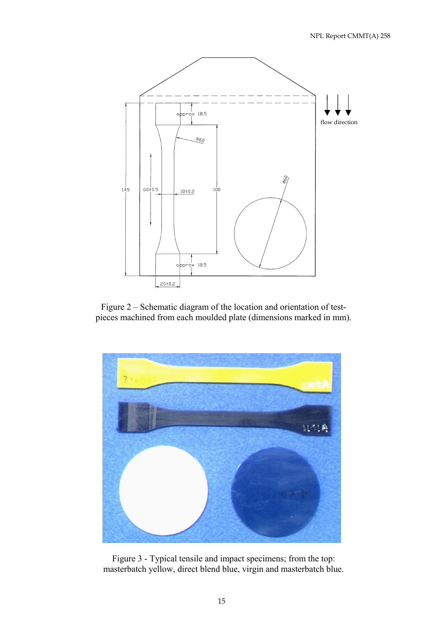

Figure 2 – Schematic diagram of the location and orientation of testpieces machined from each moulded plate (dimensions marked in mm).



Figure 3 - Typical tensile and impact specimens; from the top: masterbatch yellow, direct blend blue, virgin and masterbatch blue.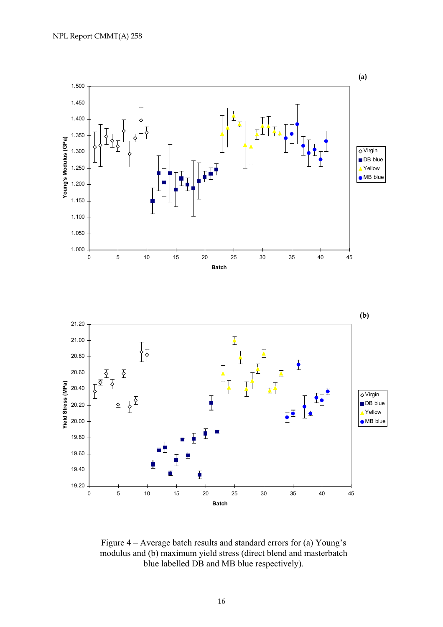

Figure 4 – Average batch results and standard errors for (a) Young's modulus and (b) maximum yield stress (direct blend and masterbatch blue labelled DB and MB blue respectively).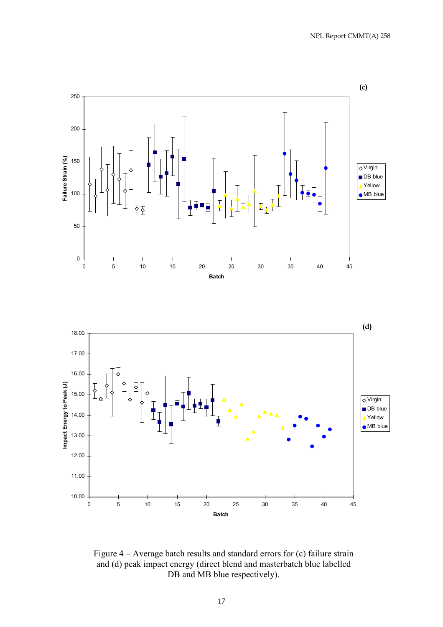

Figure 4 – Average batch results and standard errors for (c) failure strain and (d) peak impact energy (direct blend and masterbatch blue labelled DB and MB blue respectively).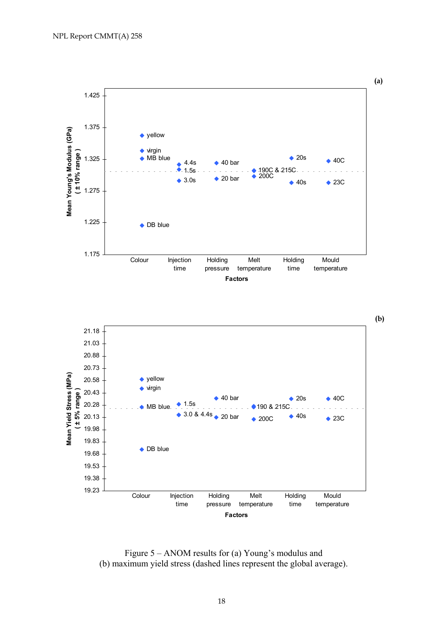



Figure 5 – ANOM results for (a) Young's modulus and (b) maximum yield stress (dashed lines represent the global average).

18